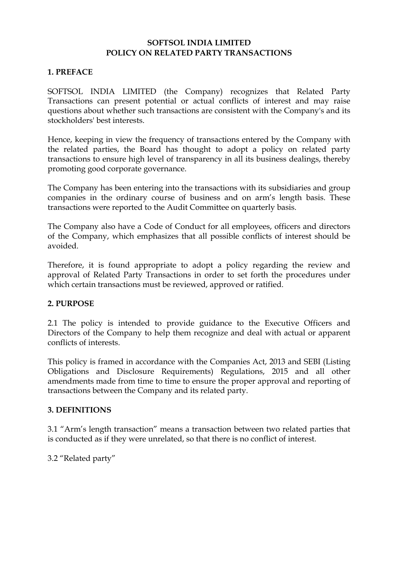#### **SOFTSOL INDIA LIMITED POLICY ON RELATED PARTY TRANSACTIONS**

## **1. PREFACE**

SOFTSOL INDIA LIMITED (the Company) recognizes that Related Party Transactions can present potential or actual conflicts of interest and may raise questions about whether such transactions are consistent with the Company's and its stockholders' best interests.

Hence, keeping in view the frequency of transactions entered by the Company with the related parties, the Board has thought to adopt a policy on related party transactions to ensure high level of transparency in all its business dealings, thereby promoting good corporate governance.

The Company has been entering into the transactions with its subsidiaries and group companies in the ordinary course of business and on arm's length basis. These transactions were reported to the Audit Committee on quarterly basis.

The Company also have a Code of Conduct for all employees, officers and directors of the Company, which emphasizes that all possible conflicts of interest should be avoided.

Therefore, it is found appropriate to adopt a policy regarding the review and approval of Related Party Transactions in order to set forth the procedures under which certain transactions must be reviewed, approved or ratified.

#### **2. PURPOSE**

2.1 The policy is intended to provide guidance to the Executive Officers and Directors of the Company to help them recognize and deal with actual or apparent conflicts of interests.

This policy is framed in accordance with the Companies Act, 2013 and SEBI (Listing Obligations and Disclosure Requirements) Regulations, 2015 and all other amendments made from time to time to ensure the proper approval and reporting of transactions between the Company and its related party.

#### **3. DEFINITIONS**

3.1 "Arm's length transaction" means a transaction between two related parties that is conducted as if they were unrelated, so that there is no conflict of interest.

3.2 "Related party"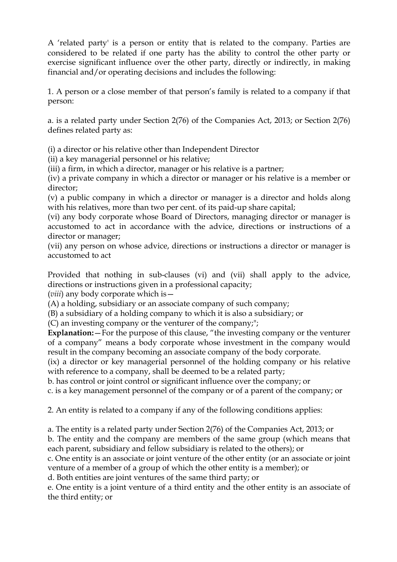A 'related party' is a person or entity that is related to the company. Parties are considered to be related if one party has the ability to control the other party or exercise significant influence over the other party, directly or indirectly, in making financial and/or operating decisions and includes the following:

1. A person or a close member of that person's family is related to a company if that person:

a. is a related party under Section 2(76) of the Companies Act, 2013; or Section 2(76) defines related party as:

(i) a director or his relative other than Independent Director

(ii) a key managerial personnel or his relative;

(iii) a firm, in which a director, manager or his relative is a partner;

(iv) a private company in which a director or manager or his relative is a member or director;

(v) a public company in which a director or manager is a director and holds along with his relatives, more than two per cent. of its paid-up share capital;

(vi) any body corporate whose Board of Directors, managing director or manager is accustomed to act in accordance with the advice, directions or instructions of a director or manager;

(vii) any person on whose advice, directions or instructions a director or manager is accustomed to act

Provided that nothing in sub-clauses (vi) and (vii) shall apply to the advice, directions or instructions given in a professional capacity;

(*viii*) any body corporate which is—

(A) a holding, subsidiary or an associate company of such company;

(B) a subsidiary of a holding company to which it is also a subsidiary; or

(C) an investing company or the venturer of the company;";

**Explanation:**—For the purpose of this clause, "the investing company or the venturer of a company" means a body corporate whose investment in the company would result in the company becoming an associate company of the body corporate.

(ix) a director or key managerial personnel of the holding company or his relative with reference to a company, shall be deemed to be a related party;

b. has control or joint control or significant influence over the company; or

c. is a key management personnel of the company or of a parent of the company; or

2. An entity is related to a company if any of the following conditions applies:

a. The entity is a related party under Section 2(76) of the Companies Act, 2013; or

b. The entity and the company are members of the same group (which means that each parent, subsidiary and fellow subsidiary is related to the others); or

c. One entity is an associate or joint venture of the other entity (or an associate or joint venture of a member of a group of which the other entity is a member); or

d. Both entities are joint ventures of the same third party; or

e. One entity is a joint venture of a third entity and the other entity is an associate of the third entity; or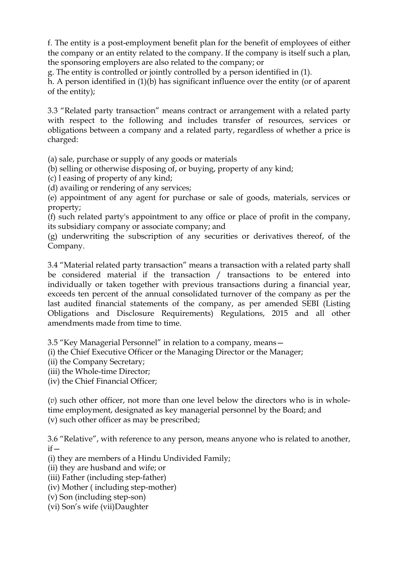f. The entity is a post-employment benefit plan for the benefit of employees of either the company or an entity related to the company. If the company is itself such a plan, the sponsoring employers are also related to the company; or

g. The entity is controlled or jointly controlled by a person identified in (1).

h. A person identified in (1)(b) has significant influence over the entity (or of aparent of the entity);

3.3 "Related party transaction" means contract or arrangement with a related party with respect to the following and includes transfer of resources, services or obligations between a company and a related party, regardless of whether a price is charged:

(a) sale, purchase or supply of any goods or materials

(b) selling or otherwise disposing of, or buying, property of any kind;

- (c) l easing of property of any kind;
- (d) availing or rendering of any services;

(e) appointment of any agent for purchase or sale of goods, materials, services or property;

(f) such related party's appointment to any office or place of profit in the company, its subsidiary company or associate company; and

(g) underwriting the subscription of any securities or derivatives thereof, of the Company.

3.4 "Material related party transaction" means a transaction with a related party shall be considered material if the transaction / transactions to be entered into individually or taken together with previous transactions during a financial year, exceeds ten percent of the annual consolidated turnover of the company as per the last audited financial statements of the company, as per amended SEBI (Listing Obligations and Disclosure Requirements) Regulations, 2015 and all other amendments made from time to time.

3.5 "Key Managerial Personnel" in relation to a company, means—

(i) the Chief Executive Officer or the Managing Director or the Manager;

(ii) the Company Secretary;

(iii) the Whole-time Director;

(iv) the Chief Financial Officer;

(*v*) such other officer, not more than one level below the directors who is in wholetime employment, designated as key managerial personnel by the Board; and (v) such other officer as may be prescribed;

3.6 "Relative", with reference to any person, means anyone who is related to another,  $if -$ 

(i) they are members of a Hindu Undivided Family;

- (ii) they are husband and wife; or
- (iii) Father (including step-father)
- (iv) Mother ( including step-mother)
- (v) Son (including step-son)
- (vi) Son's wife (vii)Daughter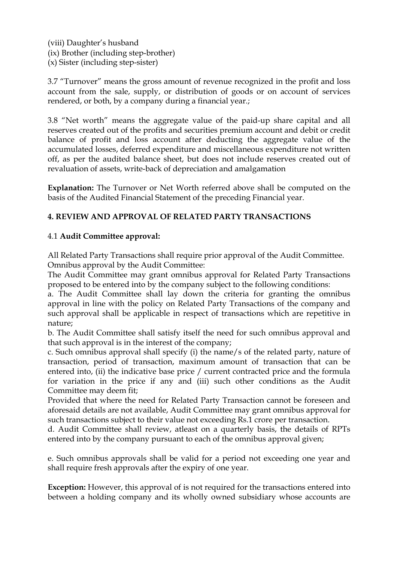(viii) Daughter's husband (ix) Brother (including step-brother) (x) Sister (including step-sister)

3.7 "Turnover" means the gross amount of revenue recognized in the profit and loss account from the sale, supply, or distribution of goods or on account of services rendered, or both, by a company during a financial year.;

3.8 "Net worth" means the aggregate value of the paid-up share capital and all reserves created out of the profits and securities premium account and debit or credit balance of profit and loss account after deducting the aggregate value of the accumulated losses, deferred expenditure and miscellaneous expenditure not written off, as per the audited balance sheet, but does not include reserves created out of revaluation of assets, write-back of depreciation and amalgamation

**Explanation:** The Turnover or Net Worth referred above shall be computed on the basis of the Audited Financial Statement of the preceding Financial year.

# **4. REVIEW AND APPROVAL OF RELATED PARTY TRANSACTIONS**

## 4.1 **Audit Committee approval:**

All Related Party Transactions shall require prior approval of the Audit Committee. Omnibus approval by the Audit Committee:

The Audit Committee may grant omnibus approval for Related Party Transactions proposed to be entered into by the company subject to the following conditions:

a. The Audit Committee shall lay down the criteria for granting the omnibus approval in line with the policy on Related Party Transactions of the company and such approval shall be applicable in respect of transactions which are repetitive in nature;

b. The Audit Committee shall satisfy itself the need for such omnibus approval and that such approval is in the interest of the company;

c. Such omnibus approval shall specify (i) the name/s of the related party, nature of transaction, period of transaction, maximum amount of transaction that can be entered into, (ii) the indicative base price / current contracted price and the formula for variation in the price if any and (iii) such other conditions as the Audit Committee may deem fit;

Provided that where the need for Related Party Transaction cannot be foreseen and aforesaid details are not available, Audit Committee may grant omnibus approval for such transactions subject to their value not exceeding Rs.1 crore per transaction.

d. Audit Committee shall review, atleast on a quarterly basis, the details of RPTs entered into by the company pursuant to each of the omnibus approval given;

e. Such omnibus approvals shall be valid for a period not exceeding one year and shall require fresh approvals after the expiry of one year.

**Exception:** However, this approval of is not required for the transactions entered into between a holding company and its wholly owned subsidiary whose accounts are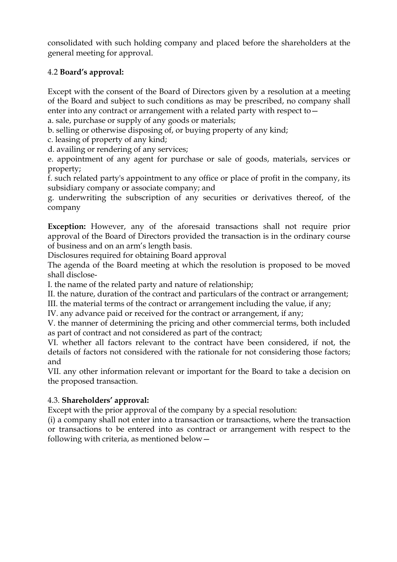consolidated with such holding company and placed before the shareholders at the general meeting for approval.

# 4.2 **Board's approval:**

Except with the consent of the Board of Directors given by a resolution at a meeting of the Board and subject to such conditions as may be prescribed, no company shall enter into any contract or arrangement with a related party with respect to—

a. sale, purchase or supply of any goods or materials;

b. selling or otherwise disposing of, or buying property of any kind;

c. leasing of property of any kind;

d. availing or rendering of any services;

e. appointment of any agent for purchase or sale of goods, materials, services or property;

f. such related party's appointment to any office or place of profit in the company, its subsidiary company or associate company; and

g. underwriting the subscription of any securities or derivatives thereof, of the company

**Exception:** However, any of the aforesaid transactions shall not require prior approval of the Board of Directors provided the transaction is in the ordinary course of business and on an arm's length basis.

Disclosures required for obtaining Board approval

The agenda of the Board meeting at which the resolution is proposed to be moved shall disclose-

I. the name of the related party and nature of relationship;

II. the nature, duration of the contract and particulars of the contract or arrangement;

III. the material terms of the contract or arrangement including the value, if any;

IV. any advance paid or received for the contract or arrangement, if any;

V. the manner of determining the pricing and other commercial terms, both included as part of contract and not considered as part of the contract;

VI. whether all factors relevant to the contract have been considered, if not, the details of factors not considered with the rationale for not considering those factors; and

VII. any other information relevant or important for the Board to take a decision on the proposed transaction.

## 4.3. **Shareholders' approval:**

Except with the prior approval of the company by a special resolution:

(i) a company shall not enter into a transaction or transactions, where the transaction or transactions to be entered into as contract or arrangement with respect to the following with criteria, as mentioned below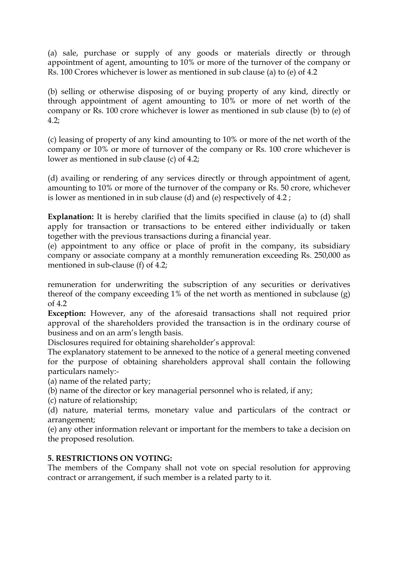(a) sale, purchase or supply of any goods or materials directly or through appointment of agent, amounting to 10% or more of the turnover of the company or Rs. 100 Crores whichever is lower as mentioned in sub clause (a) to (e) of 4.2

(b) selling or otherwise disposing of or buying property of any kind, directly or through appointment of agent amounting to 10% or more of net worth of the company or Rs. 100 crore whichever is lower as mentioned in sub clause (b) to (e) of 4.2;

(c) leasing of property of any kind amounting to 10% or more of the net worth of the company or 10% or more of turnover of the company or Rs. 100 crore whichever is lower as mentioned in sub clause (c) of 4.2;

(d) availing or rendering of any services directly or through appointment of agent, amounting to 10% or more of the turnover of the company or Rs. 50 crore, whichever is lower as mentioned in in sub clause (d) and (e) respectively of 4.2 ;

**Explanation:** It is hereby clarified that the limits specified in clause (a) to (d) shall apply for transaction or transactions to be entered either individually or taken together with the previous transactions during a financial year.

(e) appointment to any office or place of profit in the company, its subsidiary company or associate company at a monthly remuneration exceeding Rs. 250,000 as mentioned in sub-clause (f) of 4.2;

remuneration for underwriting the subscription of any securities or derivatives thereof of the company exceeding 1% of the net worth as mentioned in subclause (g) of 4.2

**Exception:** However, any of the aforesaid transactions shall not required prior approval of the shareholders provided the transaction is in the ordinary course of business and on an arm's length basis.

Disclosures required for obtaining shareholder's approval:

The explanatory statement to be annexed to the notice of a general meeting convened for the purpose of obtaining shareholders approval shall contain the following particulars namely:-

(a) name of the related party;

(b) name of the director or key managerial personnel who is related, if any;

(c) nature of relationship;

(d) nature, material terms, monetary value and particulars of the contract or arrangement;

(e) any other information relevant or important for the members to take a decision on the proposed resolution.

## **5. RESTRICTIONS ON VOTING:**

The members of the Company shall not vote on special resolution for approving contract or arrangement, if such member is a related party to it.